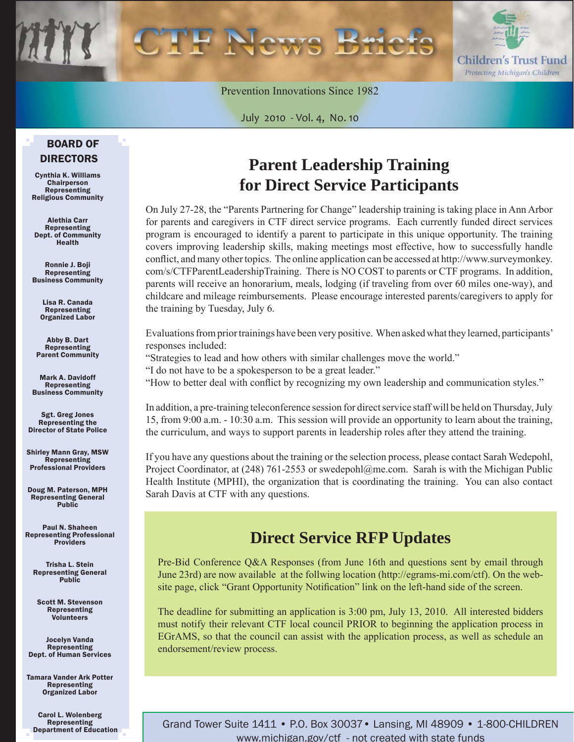

Prevention Innovations Since 1982

July 2010 - Vol. 4, No. 10

#### BOARD OF DIRECTORS

Cynthia K. Williams Chairperson Representing Religious Community

Alethia Carr Representing Dept. of Community Health

Ronnie J. Boji Representing Business Community

Lisa R. Canada Representing Organized Labor

Abby B. Dart Representing Parent Community

Mark A. Davidoff Representing Business Community

Sgt. Greg Jones Representing the Director of State Police

Shirley Mann Gray, MSW **Representing** Professional Providers

Doug M. Paterson, MPH Representing General Public

Paul N. Shaheen Representing Professional Providers

Trisha L. Stein Representing General Public

Scott M. Stevenson Representing Volunteers

Jocelyn Vanda Representing Dept. of Human Services

Tamara Vander Ark Potter Representing Organized Labor

Carol L. Wolenberg Representing Department of Education

## **Parent Leadership Training for Direct Service Participants**

On July 27-28, the "Parents Partnering for Change" leadership training is taking place in Ann Arbor for parents and caregivers in CTF direct service programs. Each currently funded direct services program is encouraged to identify a parent to participate in this unique opportunity. The training covers improving leadership skills, making meetings most effective, how to successfully handle conflict, and many other topics. The online application can be accessed at http://www.surveymonkey. [com/s/CTFParentLeadershipTraining. There is NO COST to parents or CTF programs. In addition,](http://www.surveymonkey.com/s/CTFParentLeadershipTraining)  parents will receive an honorarium, meals, lodging (if traveling from over 60 miles one-way), and childcare and mileage reimbursements. Please encourage interested parents/caregivers to apply for the training by Tuesday, July 6.

Evaluations from prior trainings have been very positive. When asked what they learned, participants' responses included:

"Strategies to lead and how others with similar challenges move the world."

"I do not have to be a spokesperson to be a great leader."

"How to better deal with conflict by recognizing my own leadership and communication styles."

In addition, a pre-training teleconference session for direct service staff will be held on Thursday, July 15, from 9:00 a.m. - 10:30 a.m. This session will provide an opportunity to learn about the training, the curriculum, and ways to support parents in leadership roles after they attend the training.

If you have any questions about the training or the selection process, please contact Sarah Wedepohl, Project Coordinator, at (248) 761-2553 or swedepohl@me.com. Sarah is with the Michigan Public Health Institute (MPHI), the organization that is coordinating the training. You can also contact Sarah Davis at CTF with any questions.

## **Direct Service RFP Updates**

Pre-Bid Conference Q&A Responses (from June 16th and questions sent by email through June 23rd) are now available at the follwing location (http://egrams-mi.com/ctf). On the website page, click "Grant Opportunity Notification" link on the left-hand side of the screen.

The deadline for submitting an application is 3:00 pm, July 13, 2010. All interested bidders must notify their relevant CTF local council PRIOR to beginning the application process in EGrAMS, so that the council can assist with the application process, as well as schedule an endorsement/review process.

Grand Tower Suite 1411 • P.O. Box 30037• Lansing, MI 48909 • 1-800-CHILDREN www.michigan.gov/ctf - not created with state funds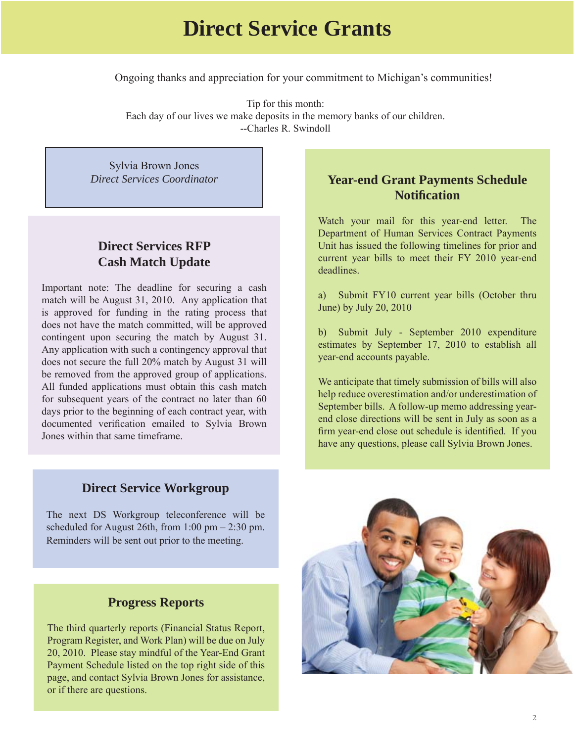## **Direct Service Grants**

Ongoing thanks and appreciation for your commitment to Michigan's communities!

Tip for this month: Each day of our lives we make deposits in the memory banks of our children. --Charles R. Swindoll

Sylvia Brown Jones *Direct Services Coordinator*

#### **Direct Services RFP Cash Match Update**

Important note: The deadline for securing a cash match will be August 31, 2010. Any application that is approved for funding in the rating process that does not have the match committed, will be approved contingent upon securing the match by August 31. Any application with such a contingency approval that does not secure the full 20% match by August 31 will be removed from the approved group of applications. All funded applications must obtain this cash match for subsequent years of the contract no later than 60 days prior to the beginning of each contract year, with documented verification emailed to Sylvia Brown Jones within that same timeframe.

#### **Year-end Grant Payments Schedule Notifi cation**

Watch your mail for this year-end letter. The Department of Human Services Contract Payments Unit has issued the following timelines for prior and current year bills to meet their FY 2010 year-end deadlines.

a) Submit FY10 current year bills (October thru June) by July 20, 2010

b) Submit July - September 2010 expenditure estimates by September 17, 2010 to establish all year-end accounts payable.

We anticipate that timely submission of bills will also help reduce overestimation and/or underestimation of September bills. A follow-up memo addressing yearend close directions will be sent in July as soon as a firm year-end close out schedule is identified. If you have any questions, please call Sylvia Brown Jones.

#### **Direct Service Workgroup**

The next DS Workgroup teleconference will be scheduled for August 26th, from  $1:00 \text{ pm} - 2:30 \text{ pm}$ . Reminders will be sent out prior to the meeting.

#### **Progress Reports**

The third quarterly reports (Financial Status Report, Program Register, and Work Plan) will be due on July 20, 2010. Please stay mindful of the Year-End Grant Payment Schedule listed on the top right side of this page, and contact Sylvia Brown Jones for assistance, or if there are questions.

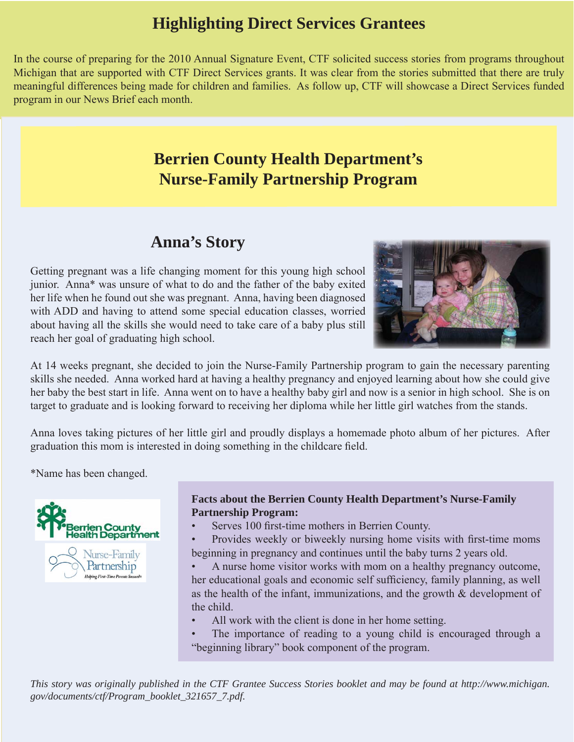## **Highlighting Direct Services Grantees**

In the course of preparing for the 2010 Annual Signature Event, CTF solicited success stories from programs throughout Michigan that are supported with CTF Direct Services grants. It was clear from the stories submitted that there are truly meaningful differences being made for children and families. As follow up, CTF will showcase a Direct Services funded program in our News Brief each month.

## **Berrien County Health Department's Nurse-Family Partnership Program**

### **Anna's Story**

Getting pregnant was a life changing moment for this young high school junior. Anna\* was unsure of what to do and the father of the baby exited her life when he found out she was pregnant. Anna, having been diagnosed with ADD and having to attend some special education classes, worried about having all the skills she would need to take care of a baby plus still reach her goal of graduating high school.



At 14 weeks pregnant, she decided to join the Nurse-Family Partnership program to gain the necessary parenting skills she needed. Anna worked hard at having a healthy pregnancy and enjoyed learning about how she could give her baby the best start in life. Anna went on to have a healthy baby girl and now is a senior in high school. She is on target to graduate and is looking forward to receiving her diploma while her little girl watches from the stands.

Anna loves taking pictures of her little girl and proudly displays a homemade photo album of her pictures. After graduation this mom is interested in doing something in the childcare field.

\*Name has been changed.



#### **Facts about the Berrien County Health Department's Nurse-Family Partnership Program:**

Serves 100 first-time mothers in Berrien County.

Provides weekly or biweekly nursing home visits with first-time moms beginning in pregnancy and continues until the baby turns 2 years old.

• A nurse home visitor works with mom on a healthy pregnancy outcome, her educational goals and economic self sufficiency, family planning, as well as the health of the infant, immunizations, and the growth & development of the child.

- All work with the client is done in her home setting.
- The importance of reading to a young child is encouraged through a "beginning library" book component of the program.

*[This story was originally published in the CTF Grantee Success Stories booklet and may be found at http://www.michigan.](http://www.michigan.gov/documents/ctf/Program_booklet_321657_7.pdf) gov/documents/ctf/Program\_booklet\_321657\_7.pdf.*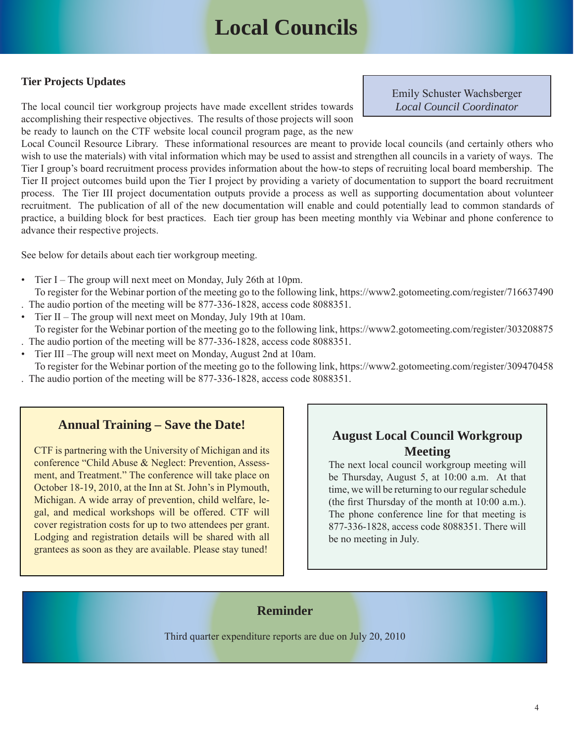# **Local Councils**

#### **Tier Projects Updates**

The local council tier workgroup projects have made excellent strides towards accomplishing their respective objectives. The results of those projects will soon be ready to launch on the CTF website local council program page, as the new Emily Schuster Wachsberger *Local Council Coordinator*

Local Council Resource Library. These informational resources are meant to provide local councils (and certainly others who wish to use the materials) with vital information which may be used to assist and strengthen all councils in a variety of ways. The Tier I group's board recruitment process provides information about the how-to steps of recruiting local board membership. The Tier II project outcomes build upon the Tier I project by providing a variety of documentation to support the board recruitment process. The Tier III project documentation outputs provide a process as well as supporting documentation about volunteer recruitment. The publication of all of the new documentation will enable and could potentially lead to common standards of practice, a building block for best practices. Each tier group has been meeting monthly via Webinar and phone conference to advance their respective projects.

See below for details about each tier workgroup meeting.

- Tier I The group will next meet on Monday, July 26th at 10pm. To register for the Webinar portion of the meeting go to the following link, https://www2.gotomeeting.com/register/716637490
- . The audio portion of the meeting will be 877-336-1828, access code 8088351.
- Tier II The group will next meet on Monday, July 19th at 10am.
- To register for the Webinar portion of the meeting go to the following link, https://www2.gotomeeting.com/register/303208875 . The audio portion of the meeting will be 877-336-1828, access code 8088351.
- Tier III –The group will next meet on Monday, August 2nd at 10am.
- To register for the Webinar portion of the meeting go to the following link, https://www2.gotomeeting.com/register/309470458 . The audio portion of the meeting will be 877-336-1828, access code 8088351.

#### **Annual Training – Save the Date!**

CTF is partnering with the University of Michigan and its conference "Child Abuse & Neglect: Prevention, Assessment, and Treatment." The conference will take place on October 18-19, 2010, at the Inn at St. John's in Plymouth, Michigan. A wide array of prevention, child welfare, legal, and medical workshops will be offered. CTF will cover registration costs for up to two attendees per grant. Lodging and registration details will be shared with all grantees as soon as they are available. Please stay tuned!

#### **August Local Council Workgroup Meeting**

The next local council workgroup meeting will be Thursday, August 5, at 10:00 a.m. At that time, we will be returning to our regular schedule (the first Thursday of the month at  $10:00$  a.m.). The phone conference line for that meeting is 877-336-1828, access code 8088351. There will be no meeting in July.

#### **Reminder**

Third quarter expenditure reports are due on July 20, 2010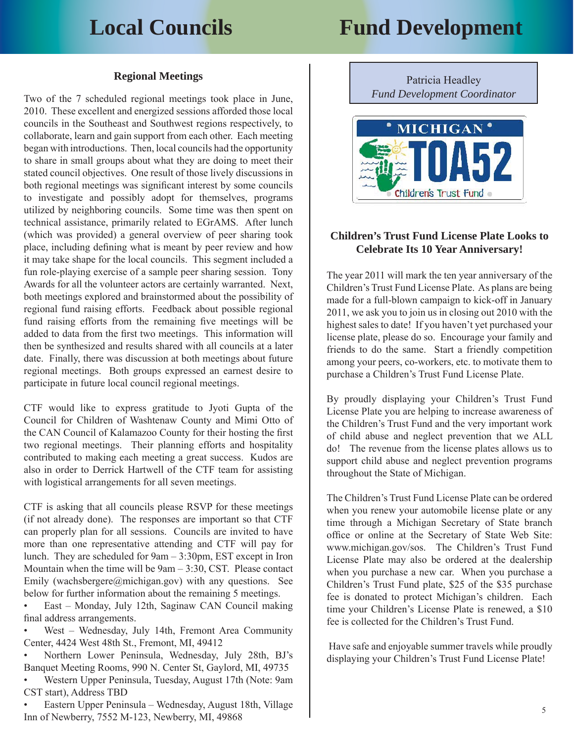# **Local Councils Fund Development**

#### **Regional Meetings**

Two of the 7 scheduled regional meetings took place in June, 2010. These excellent and energized sessions afforded those local councils in the Southeast and Southwest regions respectively, to collaborate, learn and gain support from each other. Each meeting began with introductions. Then, local councils had the opportunity to share in small groups about what they are doing to meet their stated council objectives. One result of those lively discussions in both regional meetings was significant interest by some councils to investigate and possibly adopt for themselves, programs utilized by neighboring councils. Some time was then spent on technical assistance, primarily related to EGrAMS. After lunch (which was provided) a general overview of peer sharing took place, including defining what is meant by peer review and how it may take shape for the local councils. This segment included a fun role-playing exercise of a sample peer sharing session. Tony Awards for all the volunteer actors are certainly warranted. Next, both meetings explored and brainstormed about the possibility of regional fund raising efforts. Feedback about possible regional fund raising efforts from the remaining five meetings will be added to data from the first two meetings. This information will then be synthesized and results shared with all councils at a later date. Finally, there was discussion at both meetings about future regional meetings. Both groups expressed an earnest desire to participate in future local council regional meetings.

CTF would like to express gratitude to Jyoti Gupta of the Council for Children of Washtenaw County and Mimi Otto of the CAN Council of Kalamazoo County for their hosting the first two regional meetings. Their planning efforts and hospitality contributed to making each meeting a great success. Kudos are also in order to Derrick Hartwell of the CTF team for assisting with logistical arrangements for all seven meetings.

CTF is asking that all councils please RSVP for these meetings (if not already done). The responses are important so that CTF can properly plan for all sessions. Councils are invited to have more than one representative attending and CTF will pay for lunch. They are scheduled for 9am – 3:30pm, EST except in Iron Mountain when the time will be 9am – 3:30, CST. Please contact Emily (wachsbergere@michigan.gov) with any questions. See below for further information about the remaining 5 meetings.

• East – Monday, July 12th, Saginaw CAN Council making final address arrangements.

• West – Wednesday, July 14th, Fremont Area Community Center, 4424 West 48th St., Fremont, MI, 49412

• Northern Lower Peninsula, Wednesday, July 28th, BJ's Banquet Meeting Rooms, 990 N. Center St, Gaylord, MI, 49735

• Western Upper Peninsula, Tuesday, August 17th (Note: 9am CST start), Address TBD

• Eastern Upper Peninsula – Wednesday, August 18th, Village Inn of Newberry, 7552 M-123, Newberry, MI, 49868

Patricia Headley *Fund Development Coordinator*



#### **Children's Trust Fund License Plate Looks to Celebrate Its 10 Year Anniversary!**

The year 2011 will mark the ten year anniversary of the Children's Trust Fund License Plate. As plans are being made for a full-blown campaign to kick-off in January 2011, we ask you to join us in closing out 2010 with the highest sales to date! If you haven't yet purchased your license plate, please do so. Encourage your family and friends to do the same. Start a friendly competition among your peers, co-workers, etc. to motivate them to purchase a Children's Trust Fund License Plate.

By proudly displaying your Children's Trust Fund License Plate you are helping to increase awareness of the Children's Trust Fund and the very important work of child abuse and neglect prevention that we ALL do! The revenue from the license plates allows us to support child abuse and neglect prevention programs throughout the State of Michigan.

The Children's Trust Fund License Plate can be ordered when you renew your automobile license plate or any time through a Michigan Secretary of State branch office or online at the Secretary of State Web Site: www.michigan.gov/sos. The Children's Trust Fund License Plate may also be ordered at the dealership when you purchase a new car. When you purchase a Children's Trust Fund plate, \$25 of the \$35 purchase fee is donated to protect Michigan's children. Each time your Children's License Plate is renewed, a \$10 fee is collected for the Children's Trust Fund.

 Have safe and enjoyable summer travels while proudly displaying your Children's Trust Fund License Plate!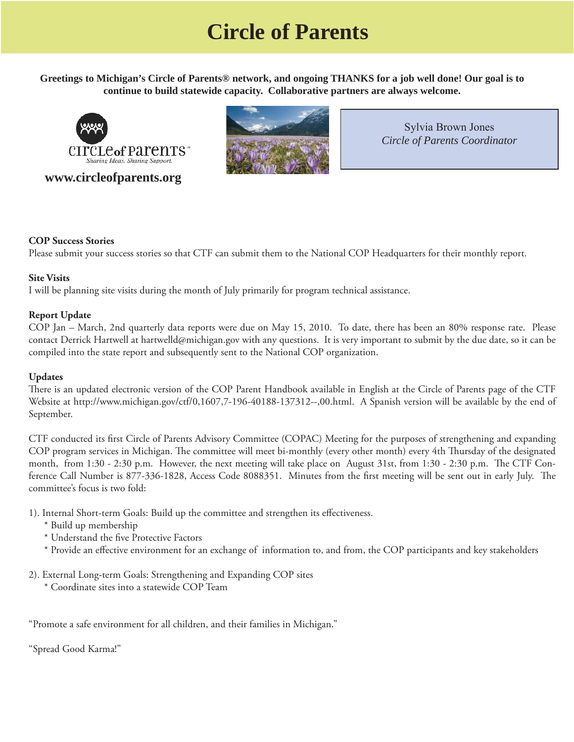# **Circle of Parents**

**Greetings to Michigan's Circle of Parents® network, and ongoing THANKS for a job well done! Our goal is to continue to build statewide capacity. Collaborative partners are always welcome.** 



#### **www.circleofparents.org**



Sylvia Brown Jones *Circle of Parents Coordinator*

#### **COP Success Stories**

Please submit your success stories so that CTF can submit them to the National COP Headquarters for their monthly report.

#### **Site Visits**

I will be planning site visits during the month of July primarily for program technical assistance.

#### **Report Update**

COP Jan – March, 2nd quarterly data reports were due on May 15, 2010. To date, there has been an 80% response rate. Please contact Derrick Hartwell at hartwelld@michigan.gov with any questions. It is very important to submit by the due date, so it can be compiled into the state report and subsequently sent to the National COP organization.

#### **Updates**

There is an updated electronic version of the COP Parent Handbook available in English at the Circle of Parents page of the CTF Website at [http://www.michigan.gov/ctf/0,1607,7-196-40188-137312--,00.html.](http://www.michigan.gov/ctf/0,1607,7-196-40188-137312--,00.html) A Spanish version will be available by the end of September.

CTF conducted its first Circle of Parents Advisory Committee (COPAC) Meeting for the purposes of strengthening and expanding COP program services in Michigan. The committee will meet bi-monthly (every other month) every 4th Thursday of the designated month, from 1:30 - 2:30 p.m. However, the next meeting will take place on August 31st, from 1:30 - 2:30 p.m. The CTF Conference Call Number is 877-336-1828, Access Code 8088351. Minutes from the first meeting will be sent out in early July. The committee's focus is two fold:

- 1). Internal Short-term Goals: Build up the committee and strengthen its effectiveness.
	- \* Build up membership
	- \* Understand the five Protective Factors
	- \* Provide an effective environment for an exchange of information to, and from, the COP participants and key stakeholders
- 2). External Long-term Goals: Strengthening and Expanding COP sites
	- \* Coordinate sites into a statewide COP Team

"Promote a safe environment for all children, and their families in Michigan."

"Spread Good Karma!"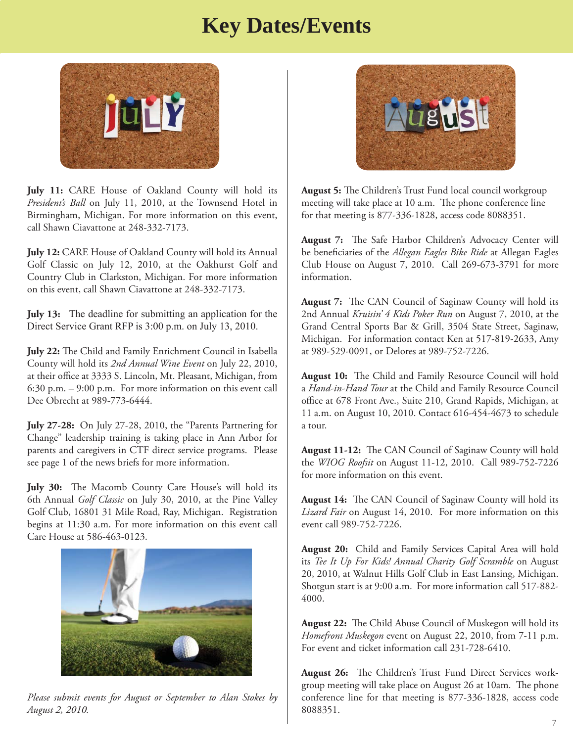# **Key Dates/Events**



**July 11:** CARE House of Oakland County will hold its *President's Ball* on July 11, 2010, at the Townsend Hotel in Birmingham, Michigan. For more information on this event, call Shawn Ciavattone at 248-332-7173.

**July 12:** CARE House of Oakland County will hold its Annual Golf Classic on July 12, 2010, at the Oakhurst Golf and Country Club in Clarkston, Michigan. For more information on this event, call Shawn Ciavattone at 248-332-7173.

**July 13:** The deadline for submitting an application for the Direct Service Grant RFP is 3:00 p.m. on July 13, 2010.

**July 22:** The Child and Family Enrichment Council in Isabella County will hold its *2nd Annual Wine Event* on July 22, 2010, at their office at 3333 S. Lincoln, Mt. Pleasant, Michigan, from 6:30 p.m. – 9:00 p.m. For more information on this event call Dee Obrecht at 989-773-6444.

**July 27-28:** On July 27-28, 2010, the "Parents Partnering for Change" leadership training is taking place in Ann Arbor for parents and caregivers in CTF direct service programs. Please see page 1 of the news briefs for more information.

July 30: The Macomb County Care House's will hold its 6th Annual *Golf Classic* on July 30, 2010, at the Pine Valley Golf Club, 16801 31 Mile Road, Ray, Michigan. Registration begins at 11:30 a.m. For more information on this event call Care House at 586-463-0123.



*Please submit events for August or September to Alan Stokes by August 2, 2010.*



August 5: The Children's Trust Fund local council workgroup meeting will take place at 10 a.m. The phone conference line for that meeting is 877-336-1828, access code 8088351.

**August 7:** The Safe Harbor Children's Advocacy Center will be beneficiaries of the *Allegan Eagles Bike Ride* at Allegan Eagles Club House on August 7, 2010. Call 269-673-3791 for more information.

**August 7:** The CAN Council of Saginaw County will hold its 2nd Annual *Kruisin' 4 Kids Poker Run* on August 7, 2010, at the Grand Central Sports Bar & Grill, 3504 State Street, Saginaw, Michigan. For information contact Ken at 517-819-2633, Amy at 989-529-0091, or Delores at 989-752-7226.

August 10: The Child and Family Resource Council will hold a *Hand-in-Hand Tour* at the Child and Family Resource Council office at 678 Front Ave., Suite 210, Grand Rapids, Michigan, at 11 a.m. on August 10, 2010. Contact 616-454-4673 to schedule a tour.

August 11-12: The CAN Council of Saginaw County will hold the *WIOG Roofsit* on August 11-12, 2010. Call 989-752-7226 for more information on this event.

August 14: The CAN Council of Saginaw County will hold its *Lizard Fair* on August 14, 2010. For more information on this event call 989-752-7226.

**August 20:** Child and Family Services Capital Area will hold its *Tee It Up For Kids! Annual Charity Golf Scramble* on August 20, 2010, at Walnut Hills Golf Club in East Lansing, Michigan. Shotgun start is at 9:00 a.m. For more information call 517-882- 4000.

August 22: The Child Abuse Council of Muskegon will hold its *Homefront Muskegon* event on August 22, 2010, from 7-11 p.m. For event and ticket information call 231-728-6410.

**August 26:** The Children's Trust Fund Direct Services workgroup meeting will take place on August 26 at 10am. The phone conference line for that meeting is 877-336-1828, access code 8088351.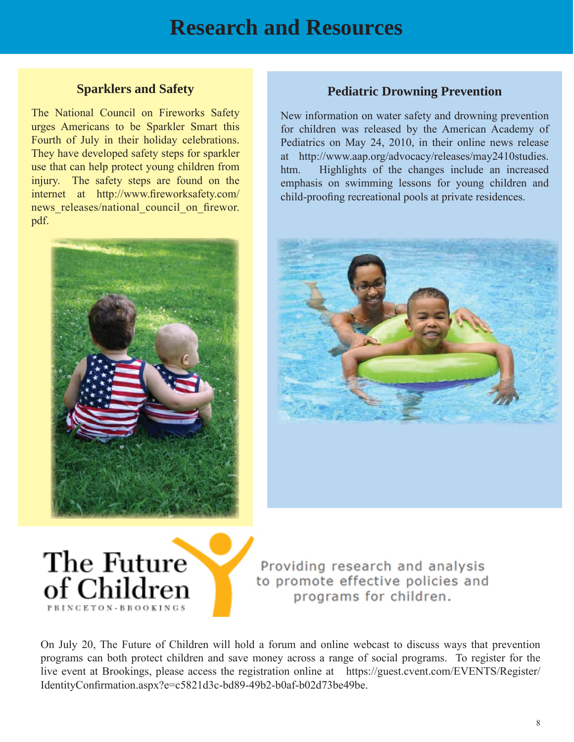#### **Sparklers and Safety**

The National Council on Fireworks Safety urges Americans to be Sparkler Smart this Fourth of July in their holiday celebrations. They have developed safety steps for sparkler use that can help protect young children from injury. The safety steps are found on the internet at http://www.fireworksafety.com/ news releases/national council on firewor. pdf.



#### **Pediatric Drowning Prevention**

New information on water safety and drowning prevention for children was released by the American Academy of Pediatrics on May 24, 2010, in their online news release at http://www.aap.org/advocacy/releases/may2410studies. [htm. Highlights of the changes include an increased](http://www.aap.org/advocacy/releases/may2410studies.htm)  emphasis on swimming lessons for young children and child-proofing recreational pools at private residences.





Providing research and analysis to promote effective policies and programs for children.

On July 20, The Future of Children will hold a forum and online webcast to discuss ways that prevention programs can both protect children and save money across a range of social programs. To register for the [live event at Brookings, please access the registration online at https://guest.cvent.com/EVENTS/Register/](https://guest.cvent.com/EVENTS/Register/IdentityConfirmation.aspx?e=c5821d3c-bd89-49b2-b0af-b02d73be49be) IdentityConfirmation.aspx?e=c5821d3c-bd89-49b2-b0af-b02d73be49be.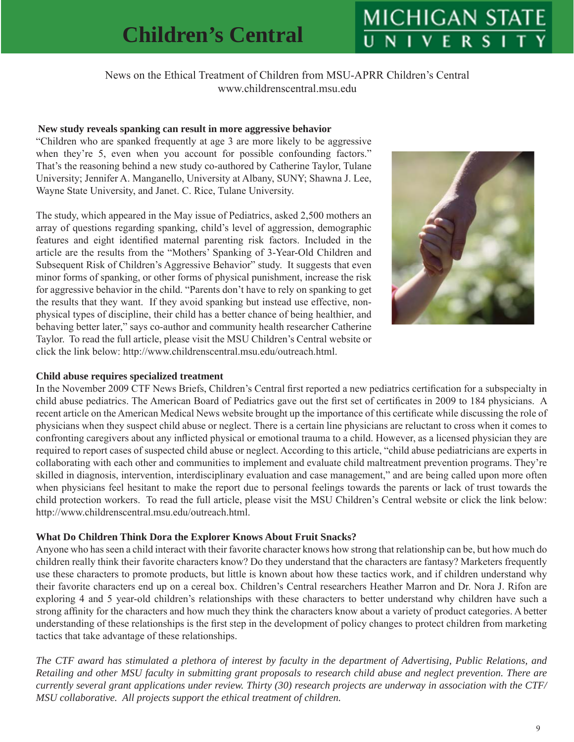# **Children's Central**

# **MICHIGAN STA**

News on the Ethical Treatment of Children from MSU-APRR Children's Central www.childrenscentral.msu.edu

#### **New study reveals spanking can result in more aggressive behavior**

"Children who are spanked frequently at age 3 are more likely to be aggressive when they're 5, even when you account for possible confounding factors." That's the reasoning behind a new study co-authored by Catherine Taylor, Tulane University; Jennifer A. Manganello, University at Albany, SUNY; Shawna J. Lee, Wayne State University, and Janet. C. Rice, Tulane University.

The study, which appeared in the May issue of Pediatrics, asked 2,500 mothers an array of questions regarding spanking, child's level of aggression, demographic features and eight identified maternal parenting risk factors. Included in the article are the results from the "Mothers' Spanking of 3-Year-Old Children and Subsequent Risk of Children's Aggressive Behavior" study. It suggests that even minor forms of spanking, or other forms of physical punishment, increase the risk for aggressive behavior in the child. "Parents don't have to rely on spanking to get the results that they want. If they avoid spanking but instead use effective, nonphysical types of discipline, their child has a better chance of being healthier, and behaving better later," says co-author and community health researcher Catherine Taylor. To read the full article, please visit the MSU Children's Central website or click the link below: http://www.childrenscentral.msu.edu/outreach.html.



#### **Child abuse requires specialized treatment**

In the November 2009 CTF News Briefs, Children's Central first reported a new pediatrics certification for a subspecialty in child abuse pediatrics. The American Board of Pediatrics gave out the first set of certificates in 2009 to 184 physicians. A recent article on the American Medical News website brought up the importance of this certificate while discussing the role of physicians when they suspect child abuse or neglect. There is a certain line physicians are reluctant to cross when it comes to confronting caregivers about any inflicted physical or emotional trauma to a child. However, as a licensed physician they are required to report cases of suspected child abuse or neglect. According to this article, "child abuse pediatricians are experts in collaborating with each other and communities to implement and evaluate child maltreatment prevention programs. They're skilled in diagnosis, intervention, interdisciplinary evaluation and case management," and are being called upon more often when physicians feel hesitant to make the report due to personal feelings towards the parents or lack of trust towards the child protection workers. To read the full article, please visit the MSU Children's Central website or click the link below: http://www.childrenscentral.msu.edu/outreach.html.

#### **What Do Children Think Dora the Explorer Knows About Fruit Snacks?**

Anyone who has seen a child interact with their favorite character knows how strong that relationship can be, but how much do children really think their favorite characters know? Do they understand that the characters are fantasy? Marketers frequently use these characters to promote products, but little is known about how these tactics work, and if children understand why their favorite characters end up on a cereal box. Children's Central researchers Heather Marron and Dr. Nora J. Rifon are exploring 4 and 5 year-old children's relationships with these characters to better understand why children have such a strong affinity for the characters and how much they think the characters know about a variety of product categories. A better understanding of these relationships is the first step in the development of policy changes to protect children from marketing tactics that take advantage of these relationships.

*The CTF award has stimulated a plethora of interest by faculty in the department of Advertising, Public Relations, and Retailing and other MSU faculty in submitting grant proposals to research child abuse and neglect prevention. There are currently several grant applications under review. Thirty (30) research projects are underway in association with the CTF/ MSU collaborative. All projects support the ethical treatment of children.*